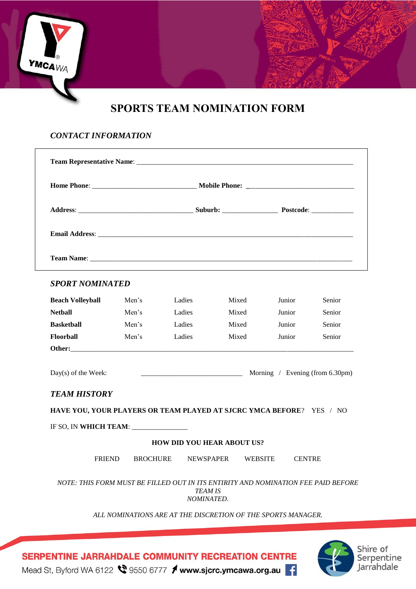# **SPORTS TEAM NOMINATION FORM**

### *CONTACT INFORMATION*

**YMCA**WA

| <b>SPORT NOMINATED</b>                                                                                               |       |                                               |       |               |        |
|----------------------------------------------------------------------------------------------------------------------|-------|-----------------------------------------------|-------|---------------|--------|
| <b>Beach Volleyball</b>                                                                                              | Men's | Ladies                                        | Mixed | Junior        | Senior |
| <b>Nethall</b>                                                                                                       | Men's | Ladies                                        | Mixed | <b>Junior</b> | Senior |
| <b>Basketball</b>                                                                                                    | Men's | Ladies                                        | Mixed | Junior        | Senior |
| Floorball                                                                                                            | Men's | Ladies                                        | Mixed | Junior        | Senior |
|                                                                                                                      |       |                                               |       |               |        |
| Day(s) of the Week:                                                                                                  |       | $\frac{1}{2}$ Morning / Evening (from 6.30pm) |       |               |        |
|                                                                                                                      |       |                                               |       |               |        |
|                                                                                                                      |       |                                               |       |               |        |
|                                                                                                                      |       |                                               |       |               |        |
|                                                                                                                      |       | <b>HOW DID YOU HEAR ABOUT US?</b>             |       |               |        |
| <b>TEAM HISTORY</b><br>HAVE YOU, YOUR PLAYERS OR TEAM PLAYED AT SJCRC YMCA BEFORE? YES / NO<br>IF SO, IN WHICH TEAM: |       | FRIEND BROCHURE NEWSPAPER WEBSITE             |       | <b>CENTRE</b> |        |

*ALL NOMINATIONS ARE AT THE DISCRETION OF THE SPORTS MANAGER.*





SERPENTINE JARRAHDALE COMMUNITY RECREATION CENTRE

Mead St, Byford WA 6122 \ 9550 6777 / www.sjcrc.ymcawa.org.au